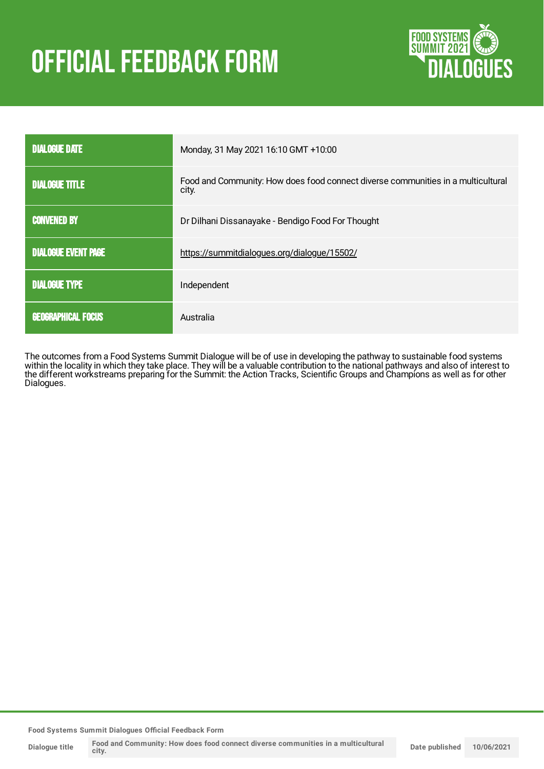# OFFICIAL FEEDBACK FORM



| <b>DIALOGUE DATE</b>       | Monday, 31 May 2021 16:10 GMT +10:00                                                      |
|----------------------------|-------------------------------------------------------------------------------------------|
| <b>DIALOGUE TITLE</b>      | Food and Community: How does food connect diverse communities in a multicultural<br>city. |
| <b>CONVENED BY</b>         | Dr Dilhani Dissanayake - Bendigo Food For Thought                                         |
| <b>DIALOGUE EVENT PAGE</b> | https://summitdialogues.org/dialogue/15502/                                               |
| <b>DIALOGUE TYPE</b>       | Independent                                                                               |
| <b>GEOGRAPHICAL FOCUS</b>  | Australia                                                                                 |

The outcomes from a Food Systems Summit Dialogue will be of use in developing the pathway to sustainable food systems within the locality in which they take place. They will be a valuable contribution to the national pathways and also of interest to the different workstreams preparing for the Summit: the Action Tracks, Scientific Groups and Champions as well as for other Dialogues.

**Food Systems Summit Dialogues Official Feedback Form**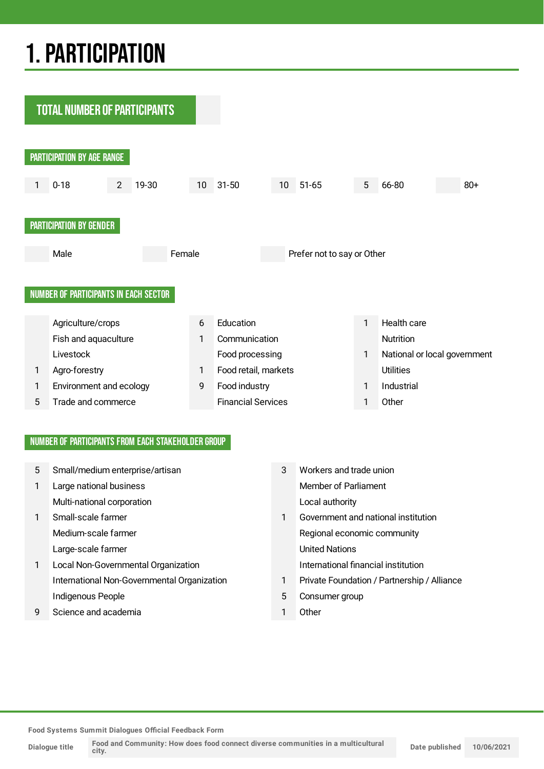## 1.PARTICIPATION

**TOTAL NUMBER OF PARTICIPANTS** PARTICIPATION BY AGE RANGE 1 0-18 2 19-30 10 31-50 10 51-65 5 66-80 80+ PARTICIPATION BY GENDER Male **Female** Prefer not to say or Other NUMBER OF PARTICIPANTS IN EACH SECTOR Agriculture/crops 6 Education 1 Health care Fish and aquaculture 1 Communication 1 Communication Livestock **Food processing** Food processing 1 National or local government 1 Agro-forestry 1 Food retail, markets Utilities 1 Environment and ecology 1 Food industry 1 Industrial 5 Trade and commerce Financial Services 1 Other

#### NUMBER OF PARTICIPANTS FROM EACH STAKEHOLDER GROUP

| 5            | Small/medium enterprise/artisan             | 3 | Workers and trade union                     |
|--------------|---------------------------------------------|---|---------------------------------------------|
| $\mathbf{1}$ | Large national business                     |   | <b>Member of Parliament</b>                 |
|              | Multi-national corporation                  |   | Local authority                             |
| $\mathbf{1}$ | Small-scale farmer                          |   | Government and national institution         |
|              | Medium-scale farmer                         |   | Regional economic community                 |
|              | Large-scale farmer                          |   | <b>United Nations</b>                       |
| $\mathbf{1}$ | Local Non-Governmental Organization         |   | International financial institution         |
|              | International Non-Governmental Organization |   | Private Foundation / Partnership / Alliance |
|              | Indigenous People                           | 5 | Consumer group                              |
| 9            | Science and academia                        |   | Other                                       |

**Food Systems Summit Dialogues Official Feedback Form**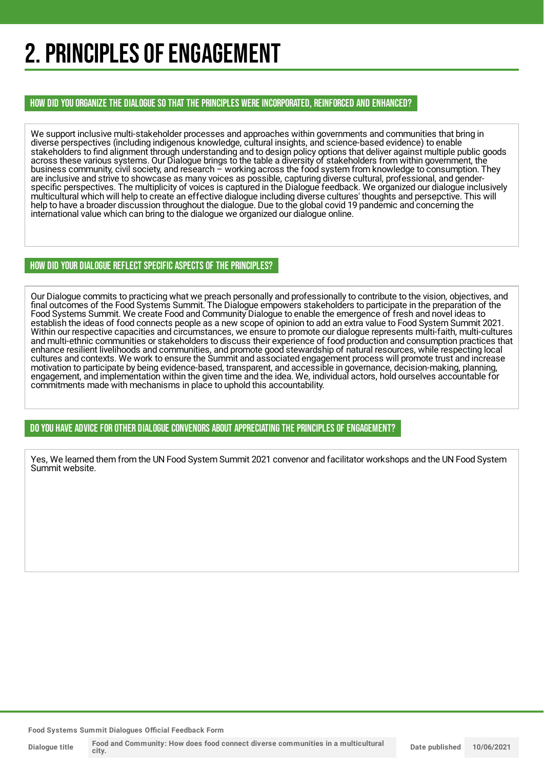## 2. PRINCIPLES OF ENGAGEMENT

HOW DID YOU ORGANIZE THE DIALOGUE SO THAT THE PRINCIPLES WERE INCORPORATED, REINFORCED AND ENHANCED?

We support inclusive multi-stakeholder processes and approaches within governments and communities that bring in diverse perspectives (including indigenous knowledge, cultural insights, and science-based evidence) to enable stakeholders to find alignment through understanding and to design policy options that deliver against multiple public goods across these various systems. Our Dialogue brings to the table a diversity of stakeholders from within government, the business community, civil society, and research – working across the food system from knowledge to consumption. They are inclusive and strive to showcase as many voices as possible, capturing diverse cultural, professional, and genderspecific perspectives. The multiplicity of voices is captured in the Dialogue feedback. We organized our dialogue inclusively multicultural which will help to create an effective dialogue including diverse cultures' thoughts and persepctive. This will help to have a broader discussion throughout the dialogue. Due to the global covid 19 pandemic and concerning the international value which can bring to the dialogue we organized our dialogue online.

#### HOW DID YOUR DIALOGUE REFLECT SPECIFIC ASPECTS OF THE PRINCIPLES?

Our Dialogue commits to practicing what we preach personally and professionally to contribute to the vision, objectives, and final outcomes of the Food Systems Summit. The Dialogue empowers stakeholders to participate in the preparation of the Food Systems Summit. We create Food and Community Dialogue to enable the emergence of fresh and novel ideas to establish the ideas of food connects people as a new scope of opinion to add an extra value to Food System Summit 2021. Within our respective capacities and circumstances, we ensure to promote our dialogue represents multi-faith, multi-cultures and multi-ethnic communities or stakeholders to discuss their experience of food production and consumption practices that enhance resilient livelihoods and communities, and promote good stewardship of natural resources, while respecting local cultures and contexts. We work to ensure the Summit and associated engagement process will promote trust and increase motivation to participate by being evidence-based, transparent, and accessible in governance, decision-making, planning, engagement, and implementation within the given time and the idea. We, individual actors, hold ourselves accountable for commitments made with mechanisms in place to uphold this accountability.

DO YOU HAVE ADVICE FOR OTHER DIALOGUE CONVENORS ABOUT APPRECIATINGTHE PRINCIPLES OF ENGAGEMENT?

Yes, We learned them from the UN Food System Summit 2021 convenor and facilitator workshops and the UN Food System Summit website.

**Food Systems Summit Dialogues Official Feedback Form**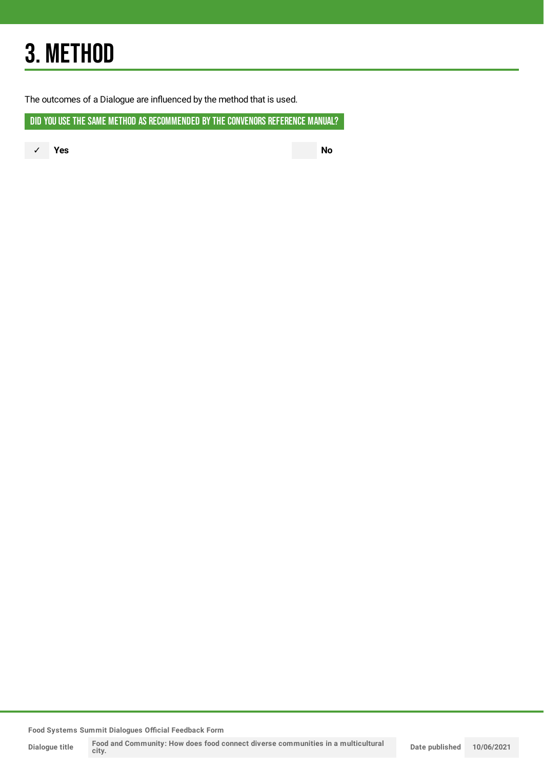## 3. METHOD

The outcomes of a Dialogue are influenced by the method that is used.

DID YOU USE THE SAME METHOD AS RECOMMENDED BY THE CONVENORS REFERENCE MANUAL?

✓ **Yes No**

**Food Systems Summit Dialogues Official Feedback Form**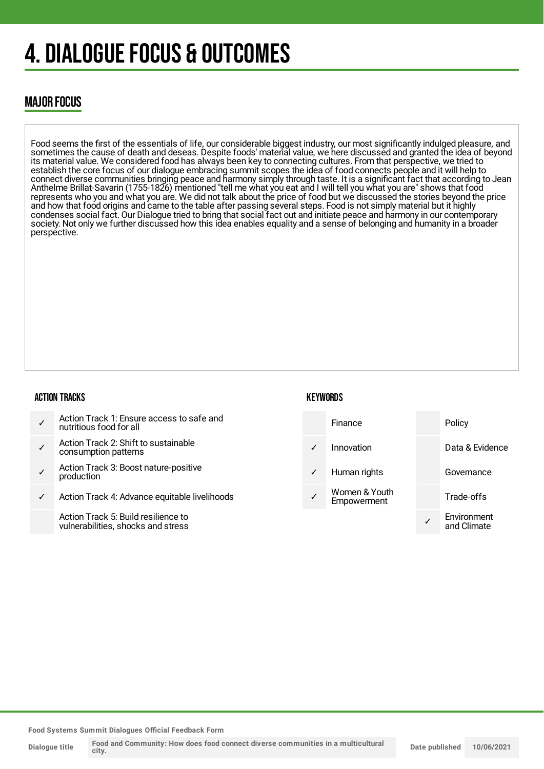## 4. DIALOGUE FOCUS & OUTCOMES

### MAJOR FOCUS

Food seems the first of the essentials of life, our considerable biggest industry, our most significantly indulged pleasure, and sometimes the cause of death and deseas. Despite foods' material value, we here discussed and granted the idea of beyond its material value. We considered food has always been key to connecting cultures. From that perspective, we tried to establish the core focus of our dialogue embracing summit scopes the idea of food connects people and it will help to connect diverse communities bringing peace and harmony simply through taste. It is a significant fact that according to Jean Anthelme Brillat-Savarin (1755-1826) mentioned "tell me what you eat and I will tell you what you are" shows that food represents who you and what you are. We did not talk about the price of food but we discussed the stories beyond the price and how that food origins and came to the table after passing several steps. Food is not simply material but it highly condenses social fact. Our Dialogue tried to bring that social fact out and initiate peace and harmony in our contemporary society. Not only we further discussed how this idea enables equality and a sense of belonging and humanity in a broader perspective.

#### ACTION TRACKS

#### **KEYWORDS**



- ✓ Action Track 2: Shift to sustainable consumption patterns
- ✓ Action Track 3: Boost nature-positive production
- ✓ Action Track 4: Advance equitable livelihoods

Action Track 5: Build resilience to vulnerabilities, shocks and stress

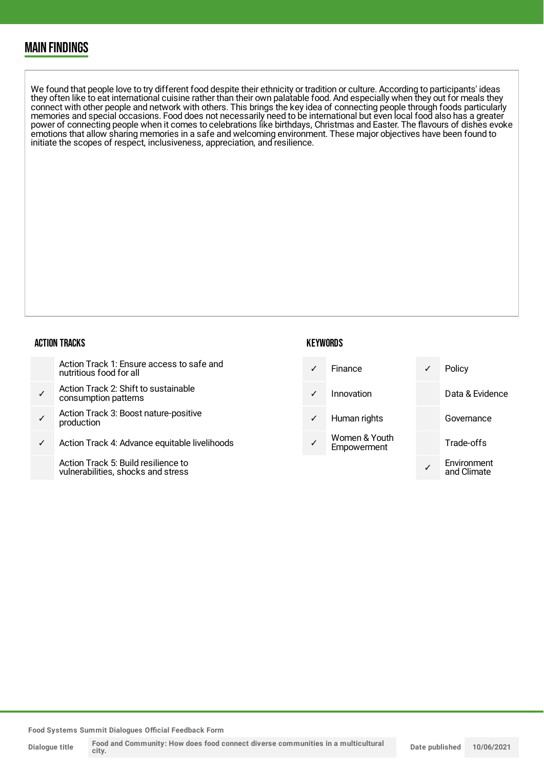### MAIN FINDINGS

We found that people love to try different food despite their ethnicity or tradition or culture. According to participants' ideas they often like to eat international cuisine rather than their own palatable food. And especially when they out for meals they connect with other people and network with others. This brings the key idea of connecting people through foods particularly memories and special occasions. Food does not necessarily need to be international but even local food also has a greater power of connecting people when it comes to celebrations like birthdays, Christmas and Easter. The flavours of dishes evoke emotions that allow sharing memories in a safe and welcoming environment. These major objectives have been found to initiate the scopes of respect, inclusiveness, appreciation, and resilience.

#### ACTION TRACKS

| Action Track 1: Ensure access to safe and |
|-------------------------------------------|
| nutritious food for all                   |

- ✓ Action Track 2: Shift to sustainable consumption patterns
- ✓ Action Track 3: Boost nature-positive production
- Action Track 4: Advance equitable livelihoods

Action Track 5: Build resilience to vulnerabilities, shocks and stress

#### **KEYWORDS**



**Food Systems Summit Dialogues Official Feedback Form**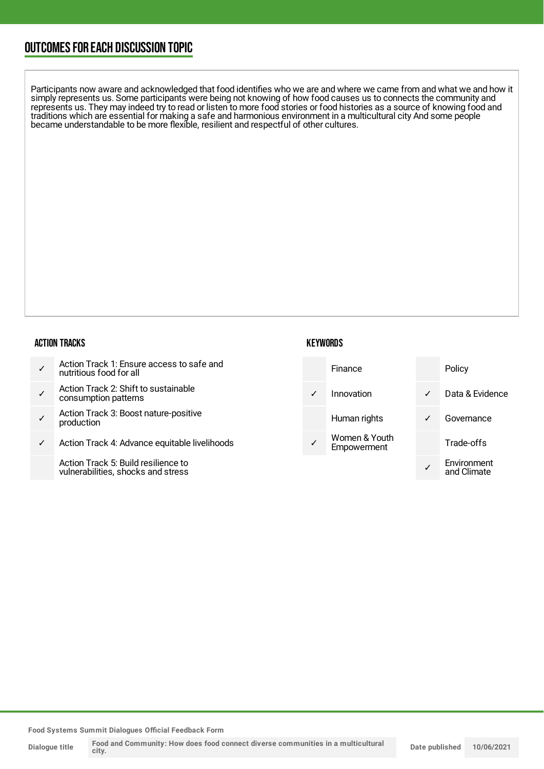### OUTCOMESFOR EACH DISCUSSION TOPIC

Participants now aware and acknowledged that food identifies who we are and where we came from and what we and how it simply represents us. Some participants were being not knowing of how food causes us to connects the community and represents us. They may indeed try to read or listen to more food stories or food histories as a source of knowing food and traditions which are essential for making a safe and harmonious environment in a multicultural city And some people became understandable to be more flexible, resilient and respectful of other cultures.

#### ACTION TRACKS

| Action Track 1: Ensure access to safe and<br>nutritious food for all |  |
|----------------------------------------------------------------------|--|
|----------------------------------------------------------------------|--|

- ✓ Action Track 2: Shift to sustainable consumption patterns
- ✓ Action Track 3: Boost nature-positive production
- Action Track 4: Advance equitable livelihoods

Action Track 5: Build resilience to vulnerabilities, shocks and stress

| Finance                      |   | Policy                     |
|------------------------------|---|----------------------------|
| Innovation                   | ✓ | Data & Evidence            |
| Human rights                 | ✓ | Governance                 |
| Women & Youth<br>Empowerment |   | Trade-offs                 |
|                              |   | Environment<br>and Climate |

**KEYWORDS** 

**Food Systems Summit Dialogues Official Feedback Form**